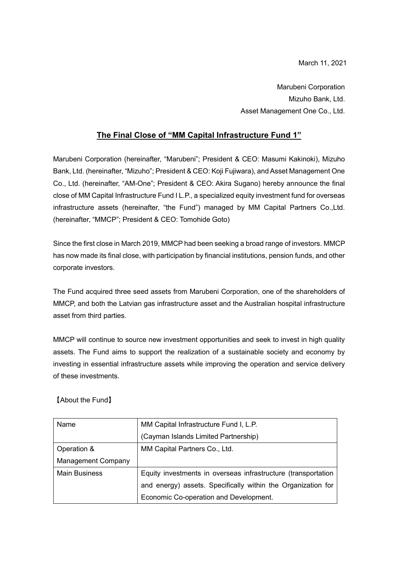Marubeni Corporation Mizuho Bank, Ltd. Asset Management One Co., Ltd.

## **The Final Close of "MM Capital Infrastructure Fund 1"**

Marubeni Corporation (hereinafter, "Marubeni"; President & CEO: Masumi Kakinoki), Mizuho Bank, Ltd. (hereinafter, "Mizuho"; President & CEO: Koji Fujiwara), and Asset Management One Co., Ltd. (hereinafter, "AM-One"; President & CEO: Akira Sugano) hereby announce the final close of MM Capital Infrastructure Fund I L.P., a specialized equity investment fund for overseas infrastructure assets (hereinafter, "the Fund") managed by MM Capital Partners Co.,Ltd. (hereinafter, "MMCP"; President & CEO: Tomohide Goto)

Since the first close in March 2019, MMCP had been seeking a broad range of investors. MMCP has now made its final close, with participation by financial institutions, pension funds, and other corporate investors.

The Fund acquired three seed assets from Marubeni Corporation, one of the shareholders of MMCP, and both the Latvian gas infrastructure asset and the Australian hospital infrastructure asset from third parties.

MMCP will continue to source new investment opportunities and seek to invest in high quality assets. The Fund aims to support the realization of a sustainable society and economy by investing in essential infrastructure assets while improving the operation and service delivery of these investments.

【About the Fund】

| Name                      | MM Capital Infrastructure Fund I, L.P.                        |
|---------------------------|---------------------------------------------------------------|
|                           | (Cayman Islands Limited Partnership)                          |
| Operation &               | MM Capital Partners Co., Ltd.                                 |
| <b>Management Company</b> |                                                               |
| <b>Main Business</b>      | Equity investments in overseas infrastructure (transportation |
|                           | and energy) assets. Specifically within the Organization for  |
|                           | Economic Co-operation and Development.                        |